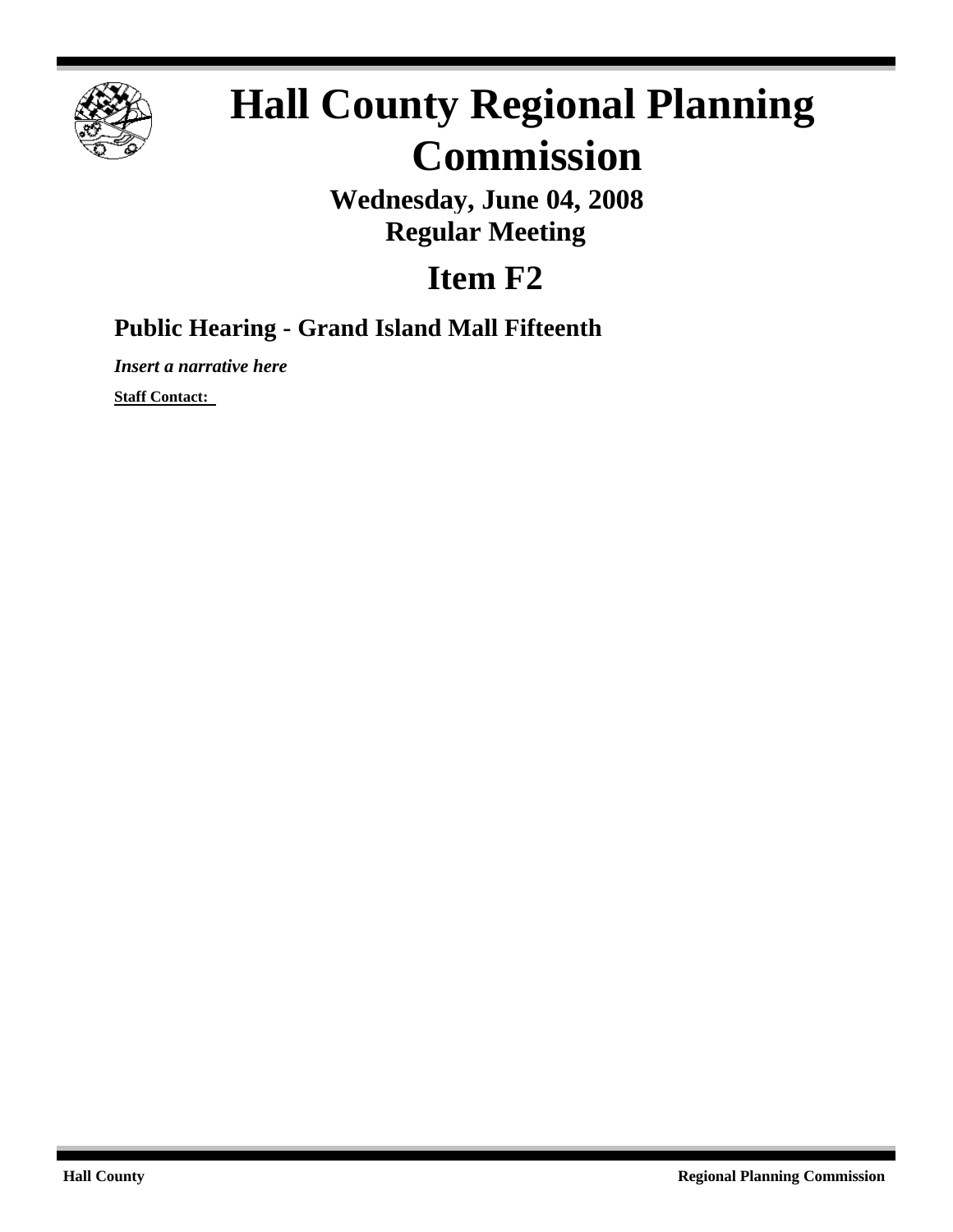

# **Hall County Regional Planning Commission**

**Wednesday, June 04, 2008 Regular Meeting**

## **Item F2**

### **Public Hearing - Grand Island Mall Fifteenth**

*Insert a narrative here*

**Staff Contact:**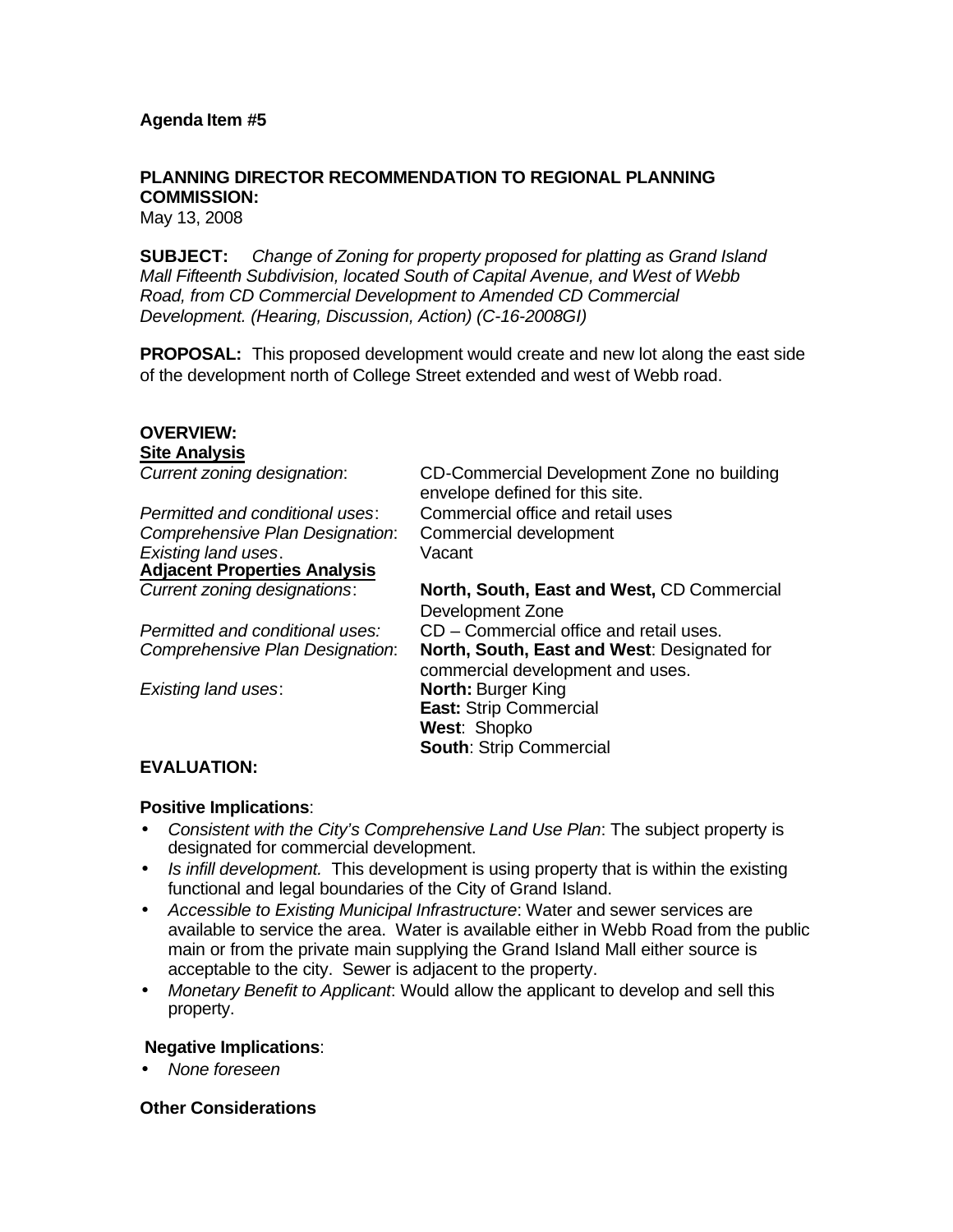#### **PLANNING DIRECTOR RECOMMENDATION TO REGIONAL PLANNING COMMISSION:**

May 13, 2008

**SUBJECT:** *Change of Zoning for property proposed for platting as Grand Island Mall Fifteenth Subdivision, located South of Capital Avenue, and West of Webb Road, from CD Commercial Development to Amended CD Commercial Development. (Hearing, Discussion, Action) (C-16-2008GI)*

**PROPOSAL:** This proposed development would create and new lot along the east side of the development north of College Street extended and west of Webb road.

#### **OVERVIEW: Site Analysis**

| Current zoning designation:         | CD-Commercial Development Zone no building<br>envelope defined for this site. |
|-------------------------------------|-------------------------------------------------------------------------------|
| Permitted and conditional uses:     | Commercial office and retail uses                                             |
| Comprehensive Plan Designation:     | Commercial development                                                        |
| Existing land uses.                 | Vacant                                                                        |
| <b>Adjacent Properties Analysis</b> |                                                                               |
| Current zoning designations:        | North, South, East and West, CD Commercial                                    |
|                                     | Development Zone                                                              |
| Permitted and conditional uses:     | CD - Commercial office and retail uses.                                       |
| Comprehensive Plan Designation:     | North, South, East and West: Designated for                                   |
|                                     | commercial development and uses.                                              |
| Existing land uses:                 | <b>North: Burger King</b>                                                     |
|                                     | East: Strip Commercial                                                        |
|                                     | West: Shopko                                                                  |
|                                     | <b>South: Strip Commercial</b>                                                |

#### **EVALUATION:**

#### **Positive Implications**:

- *Consistent with the City's Comprehensive Land Use Plan*: The subject property is designated for commercial development.
- *Is infill development.* This development is using property that is within the existing functional and legal boundaries of the City of Grand Island.
- *Accessible to Existing Municipal Infrastructure*: Water and sewer services are available to service the area. Water is available either in Webb Road from the public main or from the private main supplying the Grand Island Mall either source is acceptable to the city. Sewer is adjacent to the property.
- *Monetary Benefit to Applicant*: Would allow the applicant to develop and sell this property.

#### **Negative Implications**:

• *None foreseen*

#### **Other Considerations**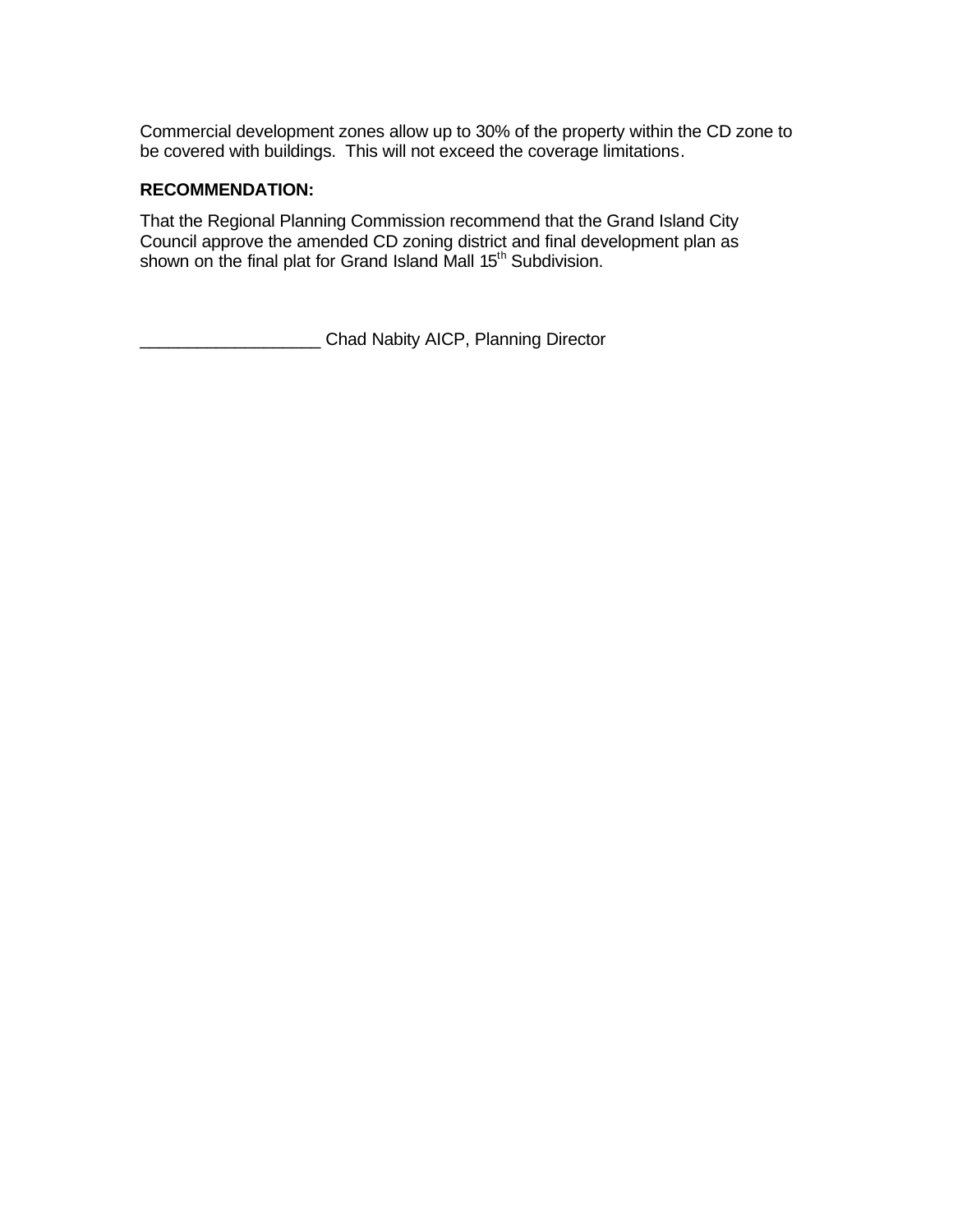Commercial development zones allow up to 30% of the property within the CD zone to be covered with buildings. This will not exceed the coverage limitations.

#### **RECOMMENDATION:**

That the Regional Planning Commission recommend that the Grand Island City Council approve the amended CD zoning district and final development plan as shown on the final plat for Grand Island Mall 15<sup>th</sup> Subdivision.

**EXECUTE:** Chad Nabity AICP, Planning Director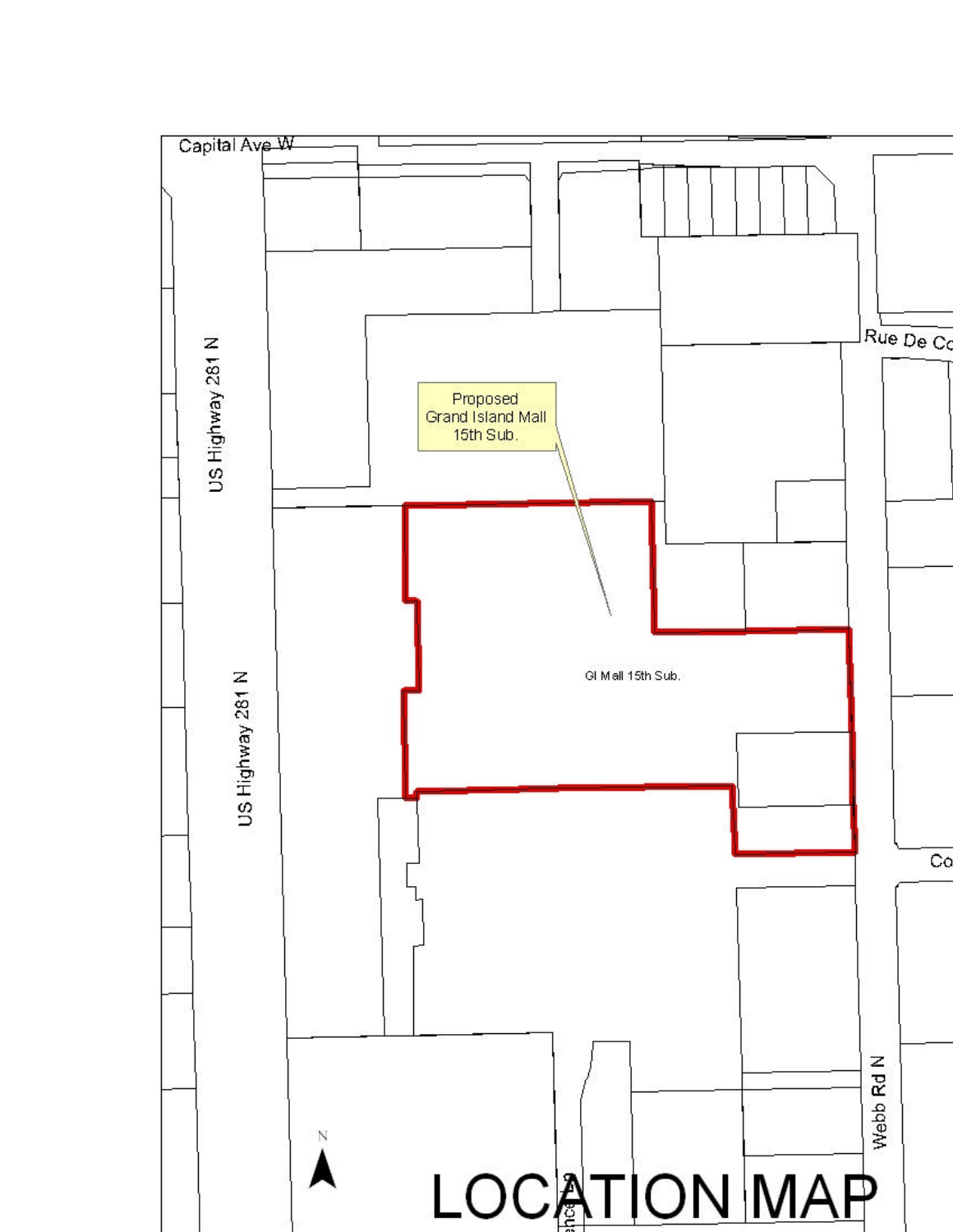